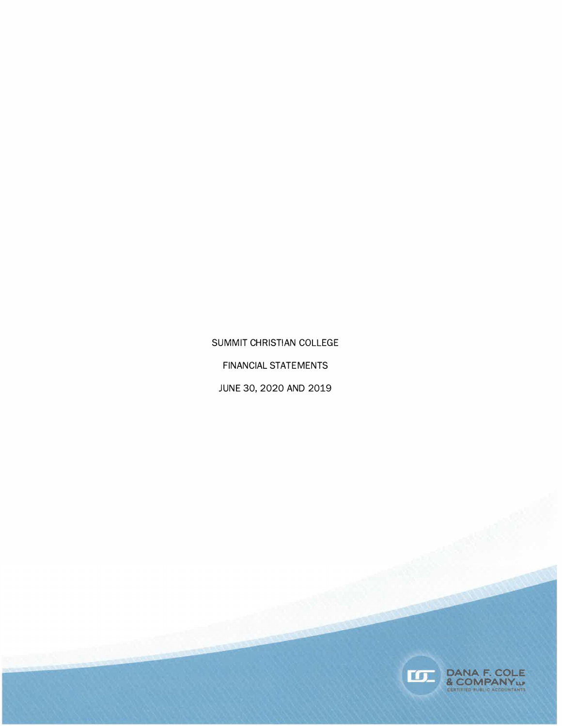SUMMIT CHRISTIAN COLLEGE FINANCIAL STATEMENTS JUNE 30, 2020 AND 2019

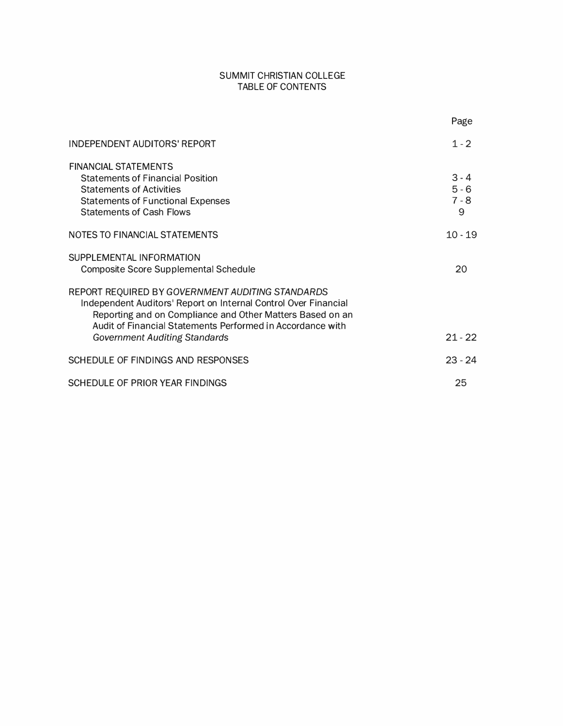## SUMMIT CHRISTIAN COLLEGE TABLE OF CONTENTS

|                                                                                                                                                                                                                                                | Page                               |
|------------------------------------------------------------------------------------------------------------------------------------------------------------------------------------------------------------------------------------------------|------------------------------------|
| INDEPENDENT AUDITORS' REPORT                                                                                                                                                                                                                   | $1 - 2$                            |
| <b>FINANCIAL STATEMENTS</b><br><b>Statements of Financial Position</b><br><b>Statements of Activities</b><br><b>Statements of Functional Expenses</b><br><b>Statements of Cash Flows</b>                                                       | $3 - 4$<br>$5 - 6$<br>$7 - 8$<br>9 |
| NOTES TO FINANCIAL STATEMENTS                                                                                                                                                                                                                  | $10 - 19$                          |
| SUPPLEMENTAL INFORMATION<br><b>Composite Score Supplemental Schedule</b>                                                                                                                                                                       | 20                                 |
| REPORT REQUIRED BY GOVERNMENT AUDITING STANDARDS<br>Independent Auditors' Report on Internal Control Over Financial<br>Reporting and on Compliance and Other Matters Based on an<br>Audit of Financial Statements Performed in Accordance with |                                    |
| <b>Government Auditing Standards</b>                                                                                                                                                                                                           | $21 - 22$                          |
| SCHEDULE OF FINDINGS AND RESPONSES                                                                                                                                                                                                             | $23 - 24$                          |
| SCHEDULE OF PRIOR YEAR FINDINGS                                                                                                                                                                                                                | 25                                 |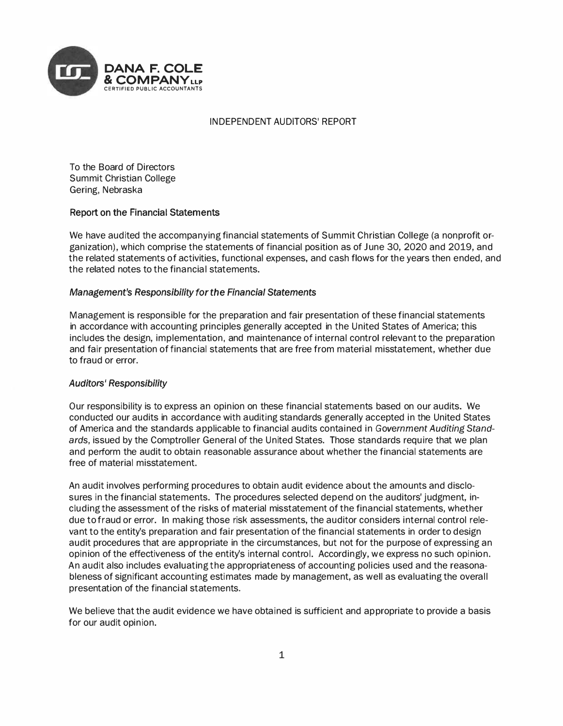

# INDEPENDENT AUDITORS' REPORT

To the Board of Directors Summit Christian College Gering, Nebraska

## Report on the Financial Statements

We have audited the accompanying financial statements of Summit Christian College (a nonprofit organization), which comprise the statements of financial position as of June 30, 2020 and 2019, and the related statements of activities, functional expenses, and cash flows for the years then ended, and the related notes to the financial statements.

## Management's Responsibility for the Financial Statements

Management is responsible for the preparation and fair presentation of these financial statements in accordance with accounting principles generally accepted in the United States of America; this includes the design, implementation, and maintenance of internal control relevant to the preparation and fair presentation of financial statements that are free from material misstatement, whether due to fraud or error.

## Auditors' Responsibility

Our responsibility is to express an opinion on these financial statements based on our audits. We conducted our audits in accordance with auditing standards generally accepted in the United States of America and the standards a pplicable to financial audits contained in Government Auditing Standards, issued by the Comptroller General of the United States. Those standards require that we plan and perform the audit to obtain reasonable assurance about whether the financial statements are free of material misstatement.

An audit involves performing procedures to obtain audit evidence a bout the amounts and disclosures in the financial statements. The procedures selected depend on the auditors' judgment, including the assessment of the risks of material misstatement of the financial statements, whether due to fraud or error. In making those risk assessments, the auditor considers internal control relevant to the entity's preparation and fair presentation of the financial statements in order to design audit procedures that are appropriate in the circumstances, but not for the purpose of expressing an opinion of the effectiveness of the entity's internal control. Accordingly, we express no such opinion. An audit also includes evaluating the appropriateness of accounting policies used and the reasonableness of significant accounting estimates made by management, as well as evaluating the overall presentation of the financial statements.

We believe that the audit evidence we have obtained is sufficient and appropriate to provide a basis for our audit opinion.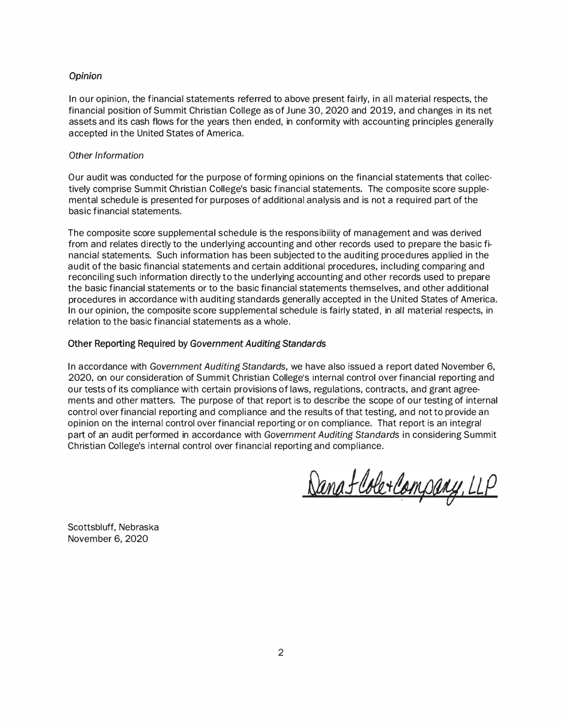### **Opinion**

In our opinion, the financial statements referred to above present fairly, in all material respects, the financial position of Summit Christian College as of June 30, 2020 and 2019, and changes in its net assets and its cash flows for the years then ended, in conformity with accounting principles generally accepted in the United States of America.

#### Other Information

Our audit was conducted for the purpose of forming opinions on the financial statements that collectively comprise Summit Christian College's basic financial statements. The composite score supplemental schedule is presented for purposes of additional analysis and is not a required part of the basic financial statements.

The composite score supplemental schedule is the responsibility of management and was derived from and relates directly to the underlying accounting and other records used to prepare the basic financial statements. Such information has been subjected to the auditing procedures applied in the audit of the basic financial statements and certain additional procedures, including comparing and reconciling such information directly to the underlying accounting and other records used to prepare the basic financial statements or to the basic financial statements themselves, and other additional procedures in accordance with auditing standards generally accepted in the United States of America. In our opinion, the composite score supplemental schedule is fairly stated, in all material respects, in relation to the basic financial statements as a whole.

### Other Reporting Required by Government Auditing Standards

In accordance with Government Auditing Standards, we have also issued a report dated November 6, 2020, on our consideration of Summit Christian College's internal control over financial reporting and our tests of its compliance with certain provisions of laws, regulations, contracts, and grant agreements and other matters. The purpose of that report is to describe the scope of our testing of internal control over financial reporting and compliance and the results of that testing, and not to provide an opinion on the internal control over financial reporting or on compliance. That report is an integral part of an audit performed in accordance with Government Auditing Standards in considering Summit Christian College's internal control over financial reporting and compliance.

Danafloberlampany, LLP

Scottsbluff, Nebraska November 6, 2020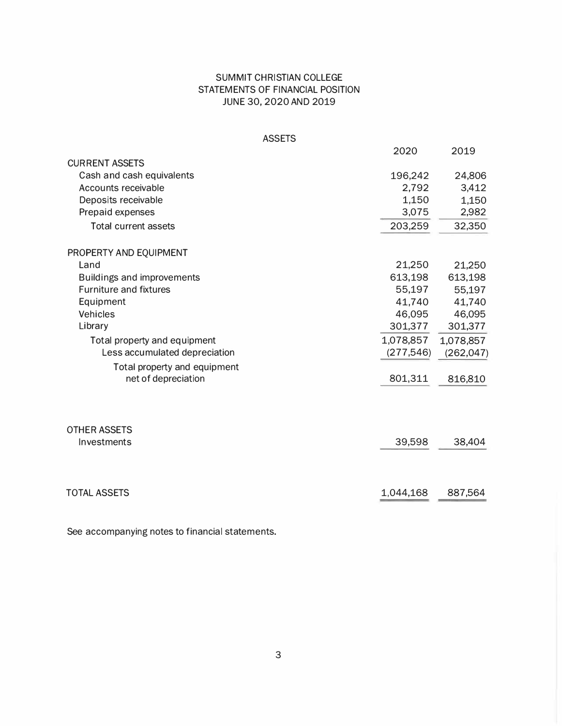# SUMMIT CHRISTIAN COLLEGE STATEMENTS OF FINANCIAL POSITION JUNE 30, 2020 AND 2019

| ASSEIS                            |            |            |
|-----------------------------------|------------|------------|
|                                   | 2020       | 2019       |
| <b>CURRENT ASSETS</b>             |            |            |
| Cash and cash equivalents         | 196,242    | 24,806     |
| Accounts receivable               | 2,792      | 3,412      |
| Deposits receivable               | 1,150      | 1,150      |
| Prepaid expenses                  | 3,075      | 2,982      |
| <b>Total current assets</b>       | 203,259    | 32,350     |
| PROPERTY AND EQUIPMENT            |            |            |
| Land                              | 21,250     | 21,250     |
| <b>Buildings and improvements</b> | 613,198    | 613,198    |
| <b>Furniture and fixtures</b>     | 55,197     | 55,197     |
| Equipment                         | 41,740     | 41,740     |
| <b>Vehicles</b>                   | 46,095     | 46,095     |
| Library                           | 301,377    | 301,377    |
| Total property and equipment      | 1,078,857  | 1,078,857  |
| Less accumulated depreciation     | (277, 546) | (262, 047) |
| Total property and equipment      |            |            |
| net of depreciation               | 801,311    | 816,810    |
|                                   |            |            |
| <b>OTHER ASSETS</b>               |            |            |
| Investments                       | 39,598     | 38,404     |
|                                   |            |            |
| <b>TOTAL ASSETS</b>               | 1,044,168  | 887,564    |

See accompanying notes to financial statements.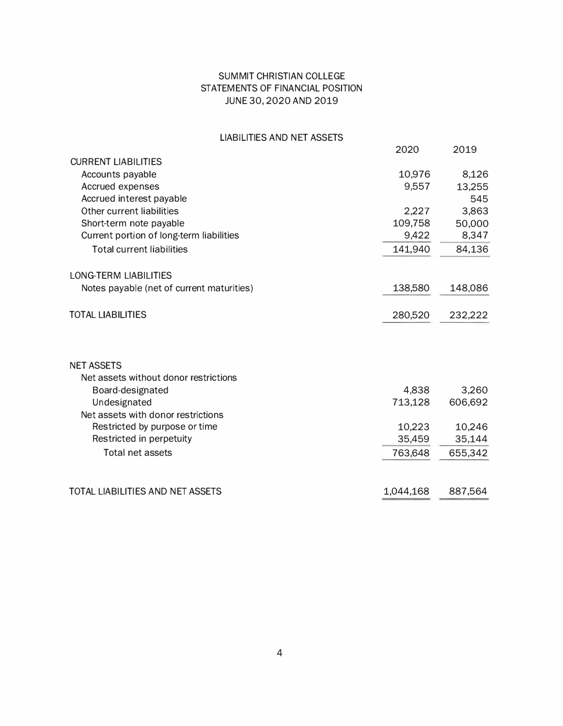# SUMMIT CHRISTIAN COLLEGE STATEMENTS OF FINANCIAL POSITION JUNE 30, 2020 AND 2019

## LIABILITIES AND NET ASSETS

|                                           | 2020      | 2019    |
|-------------------------------------------|-----------|---------|
| <b>CURRENT LIABILITIES</b>                |           |         |
| Accounts payable                          | 10,976    | 8,126   |
| <b>Accrued expenses</b>                   | 9,557     | 13,255  |
| Accrued interest payable                  |           | 545     |
| Other current liabilities                 | 2,227     | 3,863   |
| Short-term note payable                   | 109,758   | 50,000  |
| Current portion of long-term liabilities  | 9,422     | 8,347   |
| <b>Total current liabilities</b>          | 141,940   | 84,136  |
| <b>LONG-TERM LIABILITIES</b>              |           |         |
| Notes payable (net of current maturities) | 138,580   | 148,086 |
|                                           |           |         |
| <b>TOTAL LIABILITIES</b>                  | 280,520   | 232,222 |
|                                           |           |         |
| <b>NET ASSETS</b>                         |           |         |
| Net assets without donor restrictions     |           |         |
| Board-designated                          | 4,838     | 3,260   |
| Undesignated                              | 713,128   | 606,692 |
| Net assets with donor restrictions        |           |         |
| Restricted by purpose or time             | 10,223    | 10,246  |
| Restricted in perpetuity                  | 35,459    | 35,144  |
| Total net assets                          | 763,648   | 655,342 |
|                                           |           |         |
| TOTAL LIABILITIES AND NET ASSETS          | 1,044,168 | 887,564 |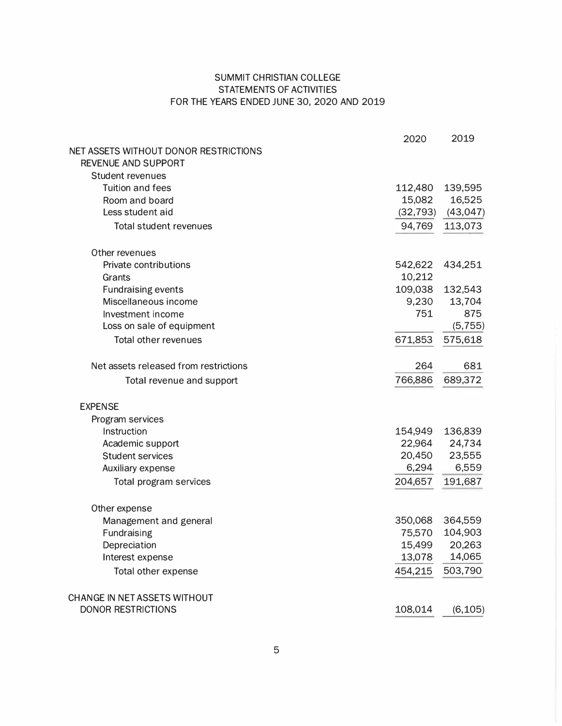# SUMMIT CHRISTIAN COLLEGE STATEMENTS OF ACTIVITIES FOR THE YEARS ENDED JUNE 30, 2020 AND 2019

|                                       | 2020      | 2019      |
|---------------------------------------|-----------|-----------|
| NET ASSETS WITHOUT DONOR RESTRICTIONS |           |           |
| <b>REVENUE AND SUPPORT</b>            |           |           |
| <b>Student revenues</b>               |           |           |
| <b>Tuition and fees</b>               | 112,480   | 139,595   |
| Room and board                        | 15,082    | 16,525    |
| Less student aid                      | (32, 793) | (43, 047) |
| <b>Total student revenues</b>         | 94,769    | 113,073   |
| Other revenues                        |           |           |
| <b>Private contributions</b>          | 542,622   | 434,251   |
| Grants                                | 10,212    |           |
| <b>Fundraising events</b>             | 109,038   | 132,543   |
| Miscellaneous income                  | 9,230     | 13,704    |
| Investment income                     | 751       | 875       |
| Loss on sale of equipment             |           | (5, 755)  |
| <b>Total other revenues</b>           | 671,853   | 575,618   |
| Net assets released from restrictions | 264       | 681       |
| Total revenue and support             | 766,886   | 689,372   |
| <b>EXPENSE</b>                        |           |           |
| Program services                      |           |           |
| Instruction                           | 154,949   | 136,839   |
| Academic support                      | 22,964    | 24,734    |
| <b>Student services</b>               | 20,450    | 23,555    |
| Auxiliary expense                     | 6,294     | 6,559     |
| <b>Total program services</b>         | 204,657   | 191,687   |
| Other expense                         |           |           |
| Management and general                | 350,068   | 364,559   |
| Fundraising                           | 75,570    | 104,903   |
| Depreciation                          | 15,499    | 20,263    |
| Interest expense                      | 13,078    | 14,065    |
| Total other expense                   | 454,215   | 503,790   |
| CHANGE IN NET ASSETS WITHOUT          |           |           |
| <b>DONOR RESTRICTIONS</b>             | 108,014   | (6, 105)  |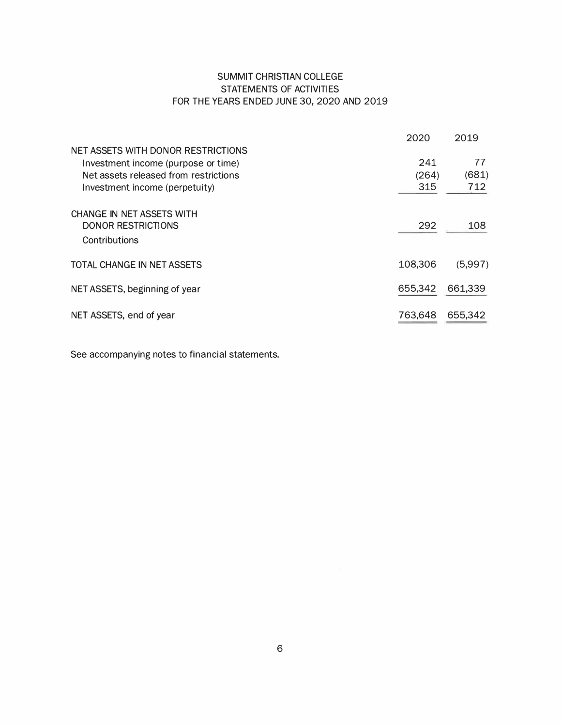# SUMMIT CHRISTIAN COLLEGE STATEMENTS OF ACTIVITIES FOR THE YEARS ENDED JUNE 30, 2020 AND 2019

|                                                                           | 2020    | 2019    |
|---------------------------------------------------------------------------|---------|---------|
| NET ASSETS WITH DONOR RESTRICTIONS<br>Investment income (purpose or time) | 241     | 77      |
| Net assets released from restrictions                                     | (264)   | (681)   |
| Investment income (perpetuity)                                            | 315     | 712     |
| CHANGE IN NET ASSETS WITH<br><b>DONOR RESTRICTIONS</b><br>Contributions   | 292     | 108     |
|                                                                           |         |         |
| TOTAL CHANGE IN NET ASSETS                                                | 108,306 | (5,997) |
| NET ASSETS, beginning of year                                             | 655,342 | 661,339 |
| NET ASSETS, end of year                                                   | 763,648 | 655,342 |

See accompanying notes to financial statements.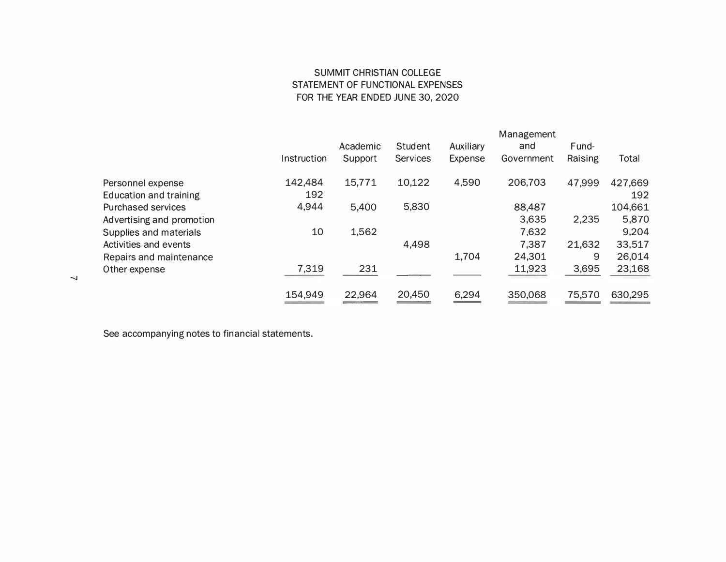# SUMMIT CHRISTIAN COLLEGE STATEMENT OF FUNCTIONAL EXPENSES FOR THE YEAR ENDED JUNE 30, 2020

|                               |             | Academic | Student         | Auxiliary      | Management<br>and | Fund-   |         |
|-------------------------------|-------------|----------|-----------------|----------------|-------------------|---------|---------|
|                               | Instruction | Support  | <b>Services</b> | <b>Expense</b> | Government        | Raising | Total   |
| Personnel expense             | 142,484     | 15,771   | 10,122          | 4,590          | 206,703           | 47,999  | 427,669 |
| <b>Education and training</b> | 192         |          |                 |                |                   |         | 192     |
| <b>Purchased services</b>     | 4,944       | 5,400    | 5,830           |                | 88,487            |         | 104,661 |
| Advertising and promotion     |             |          |                 |                | 3,635             | 2,235   | 5,870   |
| Supplies and materials        | 10          | 1,562    |                 |                | 7,632             |         | 9,204   |
| Activities and events         |             |          | 4,498           |                | 7,387             | 21,632  | 33,517  |
| Repairs and maintenance       |             |          |                 | 1.704          | 24,301            | 9       | 26,014  |
| Other expense                 | 7,319       | 231      |                 |                | 11,923            | 3,695   | 23,168  |
|                               | 154,949     | 22,964   | 20,450          | 6,294          | 350,068           | 75,570  | 630,295 |

See accompanying notes to financial statements.

 $\overline{\phantom{a}}$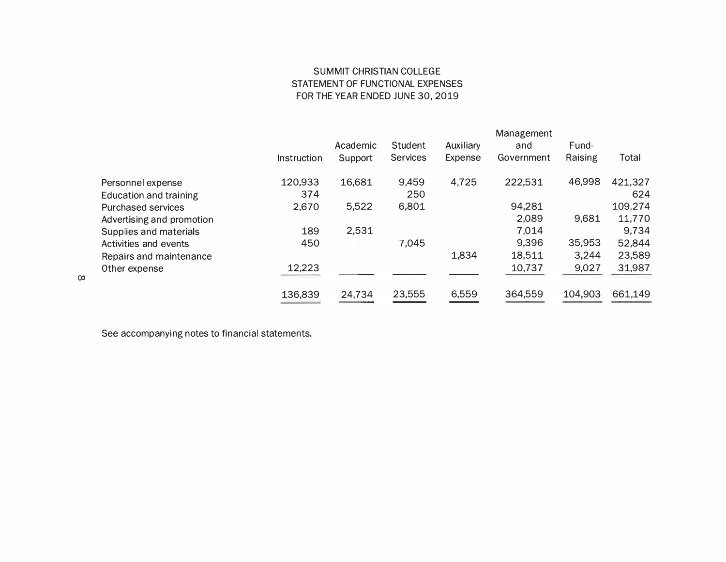# SUMMIT CHRISTIAN COLLEGE STATEMENT OF FUNCTIONAL EXPENSES FOR THE YEAR ENDED JUNE 30, 2019

|                               |                    |          |                 |           | Management |         |         |
|-------------------------------|--------------------|----------|-----------------|-----------|------------|---------|---------|
|                               |                    | Academic | Student         | Auxiliary | and        | Fund-   |         |
|                               | <b>Instruction</b> | Support  | <b>Services</b> | Expense   | Government | Raising | Total   |
| Personnel expense             | 120,933            | 16,681   | 9,459           | 4,725     | 222,531    | 46,998  | 421,327 |
| <b>Education and training</b> | 374                |          | 250             |           |            |         | 624     |
| <b>Purchased services</b>     | 2,670              | 5,522    | 6,801           |           | 94,281     |         | 109,274 |
| Advertising and promotion     |                    |          |                 |           | 2,089      | 9,681   | 11,770  |
| Supplies and materials        | 189                | 2,531    |                 |           | 7,014      |         | 9,734   |
| Activities and events         | 450                |          | 7,045           |           | 9,396      | 35,953  | 52,844  |
| Repairs and maintenance       |                    |          |                 | 1,834     | 18,511     | 3,244   | 23,589  |
| Other expense                 | 12,223             |          |                 |           | 10,737     | 9,027   | 31,987  |
|                               | 136,839            | 24,734   | 23,555          | 6,559     | 364,559    | 104,903 | 661,149 |

See accompanying notes to financial statements.

00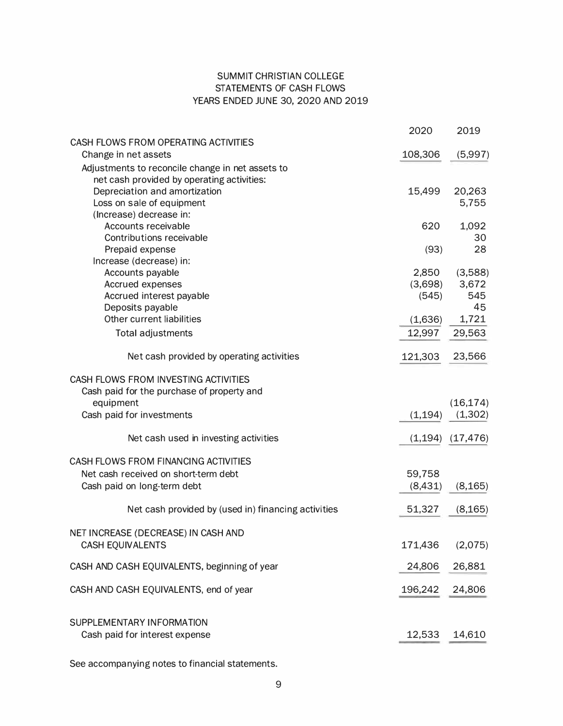# SUMMIT CHRISTIAN COLLEGE STATEMENTS OF CASH FLOWS YEARS ENDED JUNE 30, 2020 AND 2019

|                                                     | 2020     | 2019        |
|-----------------------------------------------------|----------|-------------|
| CASH FLOWS FROM OPERATING ACTIVITIES                |          |             |
| Change in net assets                                | 108,306  | (5,997)     |
| Adjustments to reconcile change in net assets to    |          |             |
| net cash provided by operating activities:          |          |             |
| Depreciation and amortization                       | 15,499   | 20,263      |
| Loss on sale of equipment                           |          | 5,755       |
| (Increase) decrease in:<br>Accounts receivable      | 620      |             |
| Contributions receivable                            |          | 1,092<br>30 |
| Prepaid expense                                     | (93)     | 28          |
| Increase (decrease) in:                             |          |             |
| Accounts payable                                    | 2,850    | (3,588)     |
| Accrued expenses                                    | (3,698)  | 3,672       |
| Accrued interest payable                            | (545)    | 545         |
| Deposits payable                                    |          | 45          |
| Other current liabilities                           | (1,636)  | 1,721       |
| <b>Total adjustments</b>                            | 12,997   | 29,563      |
|                                                     |          |             |
| Net cash provided by operating activities           | 121,303  | 23,566      |
| CASH FLOWS FROM INVESTING ACTIVITIES                |          |             |
| Cash paid for the purchase of property and          |          |             |
| equipment                                           |          | (16, 174)   |
| Cash paid for investments                           | (1, 194) | (1,302)     |
|                                                     |          |             |
| Net cash used in investing activities               | (1, 194) | (17, 476)   |
| CASH FLOWS FROM FINANCING ACTIVITIES                |          |             |
| Net cash received on short-term debt                | 59,758   |             |
| Cash paid on long-term debt                         | (8,431)  | (8, 165)    |
|                                                     |          |             |
| Net cash provided by (used in) financing activities | 51,327   | (8, 165)    |
| NET INCREASE (DECREASE) IN CASH AND                 |          |             |
| <b>CASH EQUIVALENTS</b>                             | 171,436  | (2,075)     |
|                                                     |          |             |
| CASH AND CASH EQUIVALENTS, beginning of year        | 24,806   | 26,881      |
| CASH AND CASH EQUIVALENTS, end of year              | 196,242  | 24,806      |
|                                                     |          |             |
| SUPPLEMENTARY INFORMATION                           |          |             |
| Cash paid for interest expense                      | 12,533   | 14,610      |
|                                                     |          |             |

See accompanying notes to financial statements.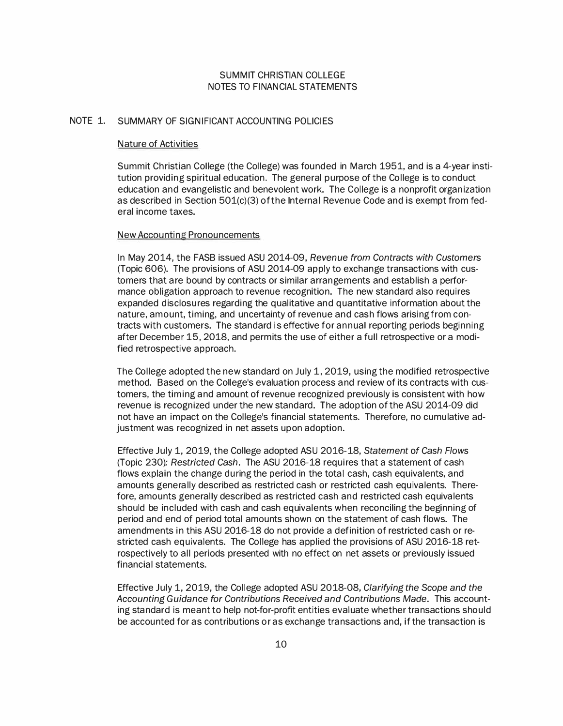## SUMMIT CHRISTIAN COLLEGE NOTES TO FINANCIAL STATEMENTS

### NOTE 1. SUMMARY OF SIGNIFICANT ACCOUNTING POLICIES

#### Nature of Activities

Summit Christian College (the College) was founded in March 1951, and is a 4-year institution providing spiritual education. The general purpose of the College is to conduct education and evangelistic and benevolent work. The College is a nonprofit organization as described in Section 501(c)(3) of the Internal Revenue Code and is exempt from federal income taxes.

#### New Accounting Pronouncements

In May 2014, the FASB issued ASU 2014-09, Revenue from Contracts with Customers (Topic 606). The provisions of ASU 2014-09 apply to exchange transactions with customers that are bound by contracts or similar arrangements and establish a performance obligation a pproach to revenue recognition. The new standard also requires expanded disclosures regarding the qualitative and quantitative information about the nature, amount, timing, and uncertainty of revenue and cash flows arising from contracts with customers. The standard is effective for annual reporting periods beginning after December 15, 2018, and permits the use of either a full retrospective or a modified retrospective approach.

The College adopted the new standard on July 1, 2019, using the modified retrospective method. Based on the College's evaluation process a nd review of its contracts with customers, the timing and amount of revenue recognized previously is consistent with how revenue is recognized under the new standard. The adoption of the ASU 2014-09 did not have an impact on the College's financial statements. Therefore, no cumulative adjustment was recognized in net assets upon adoption.

Effective July 1, 2019, the College adopted ASU 2016-18, Statement of Cash Flows (Topic 230): Restricted Cash. The ASU 2016-18 requires that a statement of cash flows explain the change during the period in the total cash, cash equivalents, and amounts generally described as restricted cash or restricted cash equivalents. Therefore, amounts generally described as restricted cash and restricted cash equivalents should be included with cash and cash equivalents when reconciling the beginning of period and end of period total amounts shown on the statement of cash flows. The amendments in this ASU 2016-18 do not provide a definition of restricted cash or restricted cash equivalents. The College has applied the provisions of ASU 2016-18 retrospectively to all periods presented with no effect on net assets or previously issued financial statements.

Effective July 1, 2019, the College adopted ASU 2018-08, Clarifying the Scope and the Accounting Guidance for Contributions Received and Contributions Made. This accounting standard is meant to help not-for-profit entities evaluate whether transactions should be accounted for as contributions or as exchange transactions and, if the transaction is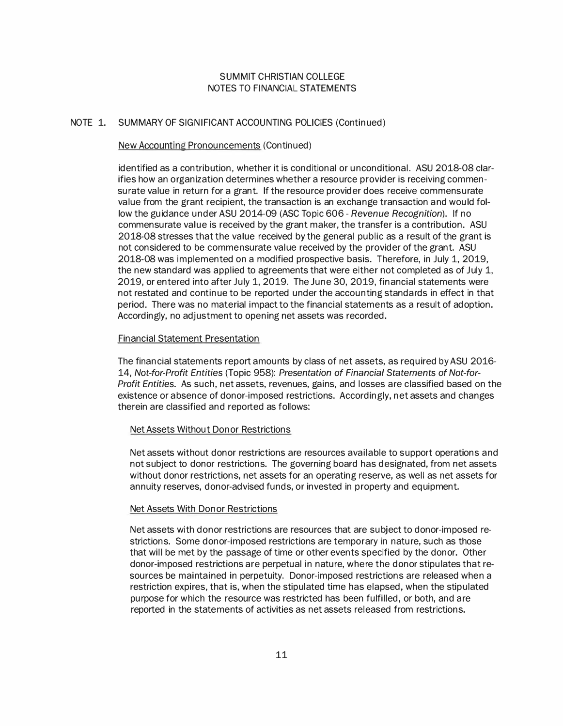## SUMMIT CHRISTIAN COLLEGE NOTES TO FINANCIAL STATEMENTS

### NOTE 1. SUMMARY OF SIGNIFICANT ACCOUNTING POLICIES (Continued)

#### New Accounting Pronouncements (Continued)

identified as a contribution, whether it is conditional or unconditional. ASU 2018-08 clarifies how an organization determines whether a resource provider is receiving commensurate value in return for a grant. If the resource provider does receive commensurate value from the grant recipient, the transaction is an exchange transaction and would follow the guidance under ASU 2014-09 (ASC Topic 606 - Revenue Recognition). If no commensurate value is received by the grant maker, the transfer is a contribution. ASU 2018-08 stresses that the value received by the general public as a result of the grant is not considered to be commensurate value received by the provider of the grant. ASU 2018-08 was i mplemented on a modified prospective basis. Therefore, in July 1, 2019, the new standard was applied to agreements that were either not completed as of July 1, 2019, or entered into after July 1, 2019. The June 30, 2019, financial statements were not restated and continue to be reported under the accounting standards in effect in that period. There was no material impact to the financial statements as a result of adoption. Accordingly, no adjustment to opening net assets was recorded.

#### Financial Statement Presentation

The financial statements report amounts by class of net assets, as required by ASU 2016- 14, Not-for-Profit Entities (Topic 958): Presentation of Financial Statements of Not-for-Profit Entities. As such, net assets, revenues, gains, and losses are classified based on the existence or absence of donor-imposed restrictions. Accordingly, net assets and changes therein are classified and reported as follows:

#### Net Assets Without Donor Restrictions

Net assets without donor restrictions are resources available to support operations and not subject to donor restrictions. The governing board has designated, from net assets without donor restrictions, net assets for an operating reserve, as well as net assets for annuity reserves, donor-advised funds, or invested in property and equipment.

#### Net Assets With Donor Restrictions

Net assets with donor restrictions are resources that are subject to donor-imposed restrictions. Some donor-imposed restrictions are temporary in nature, such as those that will be met by the passage of time or other events specified by the donor. Other donor-imposed restrictions are perpetual in nature, where the donor stipulates that resources be maintained in perpetuity. Donor-imposed restrictions are released when a restriction expires, that is, when the stipulated time has elapsed, when the stipulated purpose for which the resource was restricted has been fulfilled, or both, and are reported in the statements of activities as net assets released from restrictions.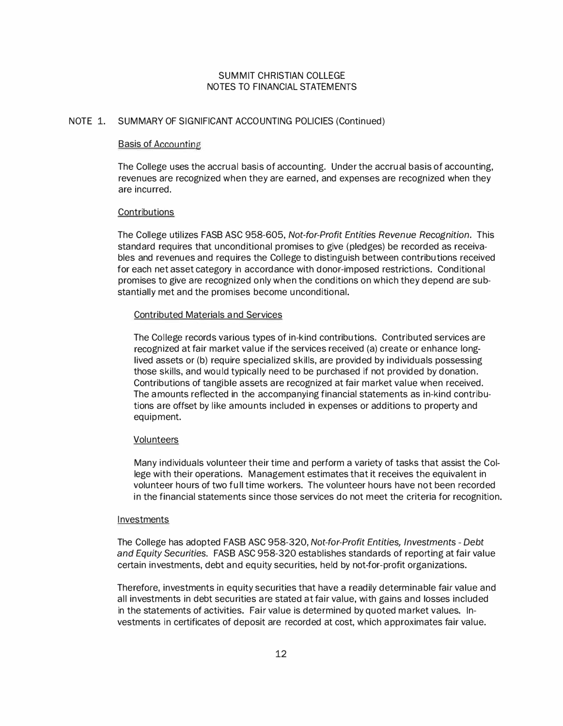#### SUMMIT CHRISTIAN COLLEGE NOTES TO FINANCIAL STATEMENTS

#### NOTE 1. SUMMARY OF SIGNIFICANT ACCOUNTING POLICIES (Continued)

## **Basis of Accounting**

The College uses the accrual basis of accounting. Under the accrual basis of accounting, revenues are recognized when they are earned, and expenses are recognized when they are incurred.

#### **Contributions**

The College utilizes FASB ASC 958-605, Not-for-Profit Entities Revenue Recognition. This standard requires that unconditional promises to give (pledges) be recorded as receivables and revenues and requires the College to distinguish between contributions received for each net asset category in accordance with donor-imposed restrictions. Conditional promises to give are recognized only when the conditions on which they depend are substantially met and the promises become unconditional.

#### Contributed Materials a nd Services

The College records various types of in-kind contributions. Contributed services are recognized at fair market value if the services received (a) create or enhance longlived assets or (b) require specialized skills, are provided by individuals possessing those skills, and would typically need to be purchased if not provided by donation. Contributions of tangible assets are recognized at fair market value when received. The a mounts reflected in the accompanying financial statements as in-kind contributions are offset by like amounts included in expenses or additions to property and equipment.

#### Volunteers

Many individuals volunteer their time and perform a variety of tasks that assist the College with their operations. M anagement estimates that it receives the equivalent in volunteer hours of two full time workers. The volunteer hours have not been recorded in the financial statements since those services do not meet the criteria for recognition.

#### **Investments**

The College has adopted FASB ASC 958-320, Not-for-Profit Entities, Investments - Debt and Equity Securities. FASB ASC 958-320 establishes standards of reporting at fair value certain investments, debt and equity securities, held by not-for-profit organizations.

Therefore, investments in equity securities that have a readily determinable fair value and all investments in debt securities are stated at fair value, with gains and losses included in the statements of activities. Fair value is determined by quoted market values. Investments in certificates of deposit are recorded at cost, which a pproximates fair value.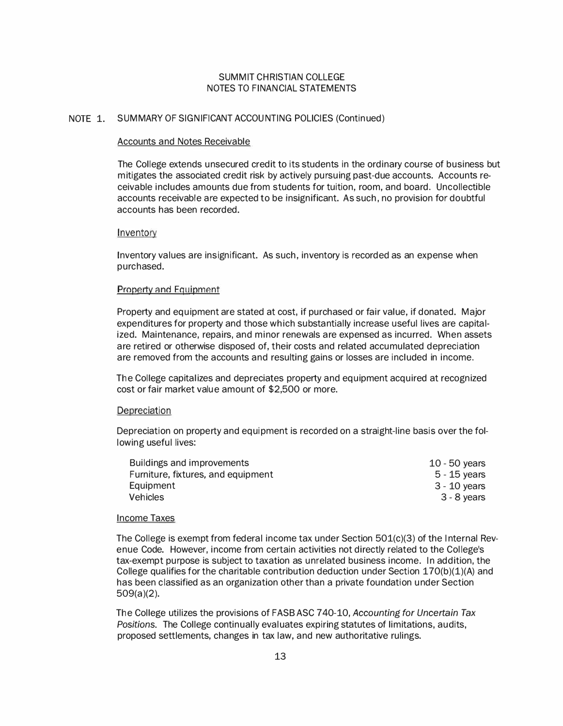## SUMMIT CHRISTIAN COLLEGE NOTES TO FINANCIAL STATEMENTS

## NOTE 1. SUMMARY OF SIGNIFICANT ACCOUNTING POLICIES (Continued)

#### Accounts and Notes Receivable

The College extends unsecured credit to its students in the ordinary course of business but m itigates the associated credit risk by actively pursuing past-due accounts. Accounts receivable includes amounts due from students for tuition, room, and board. Uncollectible accounts receivable are expected to be insignificant. As such, no provision for doubtful accounts has been recorded.

#### Inventory

Inventory values are insignificant. As such, inventory is recorded as an expense when purchased.

#### Property and Equipment

Property and equipment are stated at cost, if purchased or fair value, if donated. Major expenditures for property and those which substantially increase useful lives are capitalized. Maintenance, repairs, and minor renewals are expensed as incurred. When assets a re retired or otherwise disposed of, their costs and related accumulated depreciation are removed from the accounts and resulting gains or losses are included in i ncome.

The College capitalizes and depreciates property and equipment acquired at recognized cost or fair market value amount of \$2,500 or more.

## Depreciation

Depreciation on property and equipment is recorded on a straight-line basis over the following useful lives:

| Buildings and improvements         | $10 - 50$ years |
|------------------------------------|-----------------|
| Furniture, fixtures, and equipment | $5 - 15$ years  |
| Equipment                          | $3 - 10$ years  |
| <b>Vehicles</b>                    | $3 - 8$ years   |

#### Income Taxes

The College is exempt from federal income tax under Section 501(c)(3) of the I nternal Revenue Code. However, income from certain activities not directly related to the College's tax-exempt purpose is subject to taxation as unrelated business income. In addition, the College qualifies for the charitable contribution deduction under Section  $170(b)(1)(A)$  and has been classified as an organization other than a private foundation u nder Section 509(a)(2).

The College utilizes the provisions of FASB ASC 7 40-10, Accounting for Uncertain Tax Positions. The College continually evaluates expiring statutes of limitations, audits, proposed settlements, changes in tax law, and new authoritative rulings.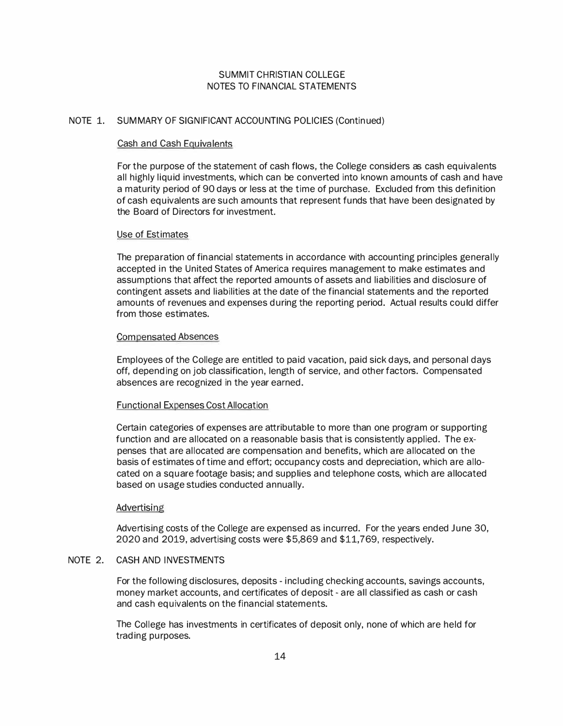## SUMMIT CHRISTIAN COLLEGE NOTES TO FINANCIAL STATEMENTS

## NOTE 1. SUMMARY OF SIGNIFICANT ACCOUNTING POLICIES (Continued)

#### Cash and Cash Equivalents

For the purpose of the statement of cash flows, the College considers as cash equivalents all highly liquid investments, which can be converted into known amounts of cash and have a maturity period of 90 days or less at the time of purchase. Excluded from this definition of cash equivalents are such amounts that represent funds that have been designated by the Board of Directors for investment.

#### Use of Estimates

The preparation of financial statements in accordance with accounting principles generally accepted in the United States of America requires management to make estimates and assum ptions that affect the reported amounts of assets and liabilities and disclosure of contingent assets and liabilities at the date of the financial statements and the reported amounts of revenues and expenses during the reporting period. Actual results could differ from those estimates.

#### Compensated Absences

Employees of the College are entitled to paid vacation, paid sick days, and personal days off, depending on job classification, length of service, and other factors. Compensated absences are recognized in the year earned.

### Functional Expenses Cost Allocation

Certain categories of expenses are attributable to more than one program or supporting function and are allocated on a reasonable basis that is consistently applied. The expenses that are allocated are compensation and benefits, which are allocated on the basis of estimates of time and effort; occupancy costs and depreciation, which are allocated on a square footage basis; and supplies and telephone costs, which are allocated based on usage studies conducted annually.

#### Advertising

Advertising costs of the College are expensed as incurred. For the years ended June 30, 2020 and 2019, advertising costs were \$5,869 and \$11,769, respectively.

### NOTE 2. CASH AND INVESTMENTS

For the following disclosures, deposits - including checking accounts, savings accounts, money market accounts, and certificates of deposit - are all classified as cash or cash and cash equivalents on the financial statements.

The College has investments in certificates of deposit only, none of which are held for trading purposes.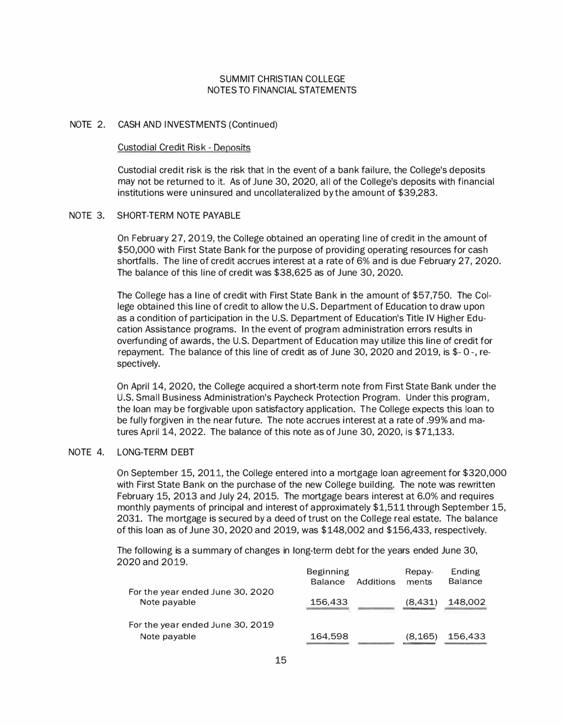## SUMMIT CHRISTIAN COLLEGE NOTES TO FINANCIAL STATEMENTS

## NOTE 2. CASH AND INVESTMENTS (Continued)

#### Custodial Credit Risk - Deposits

Custodial credit risk is the risk that in the event of a bank failure, the College's deposits may not be returned to it. As of June 30, 2020, all of the College's deposits with financial institutions were uninsured and uncollateralized by the amount of \$39,283.

### NOTE 3. SHORT-TERM NOTE PAYABLE

On February 27, 2019, the College obtained an operating line of credit in the amount of \$50,000 with First State Bank for the purpose of providing operating resources for cash shortfalls. The line of credit accrues interest at a rate of 6% and is due February 27, 2020. The balance of this line of credit was \$38,625 as of June 30, 2020.

The College has a line of credit with First State Bank in the amount of \$57,750. The College obtained this line of credit to allow the U.S. Department of Education to draw upon as a condition of participation in the U.S. Department of Education's Title IV Higher Education Assistance programs. In the event of program administration errors results in overfunding of awards, the U.S. Department of Education may util ize this line of credit for repayment. The balance of this line of credit as of June 30, 2020 and 2019, is \$- O -, respectively.

On April 14, 2020, the College acquired a short-term note from First State Bank under the U.S. Small Business Administration's Paycheck Protection Program. Under this program, the loan may be forgivable upon satisfactory application. The College expects this loan to be fully forgiven in the near future. The note accrues interest at a rate of .99% and matures April 14, 2022. The balance of this note as of June 30, 2020, is \$71,133.

### NOTE 4. LONG-TERM DEBT

On September 15, 2011, the College entered into a mortgage loan agreement for \$320,000 with First State Bank on the purchase of the new College building. The note was rewritten February 15, 2013 a nd July 24, 2015. The mortgage bears interest at 6.0% and requires monthly payments of principal and interest of approximately \$1,511 through September 15, 2031. The mortgage is secured by a deed of trust on the College real estate. The balance of this loan as of June 30, 2020 and 2019, was \$148,002 and \$156,433, respectively.

The following is a summary of changes in long-term debt for the years ended June 30, 2020 and 2019.

|                                                  | <b>Beginning</b><br><b>Balance</b> | Additions | $Repay-$<br>ments | Ending<br><b>Balance</b> |
|--------------------------------------------------|------------------------------------|-----------|-------------------|--------------------------|
| For the year ended June 30, 2020<br>Note payable | 156.433                            |           | (8,431)           | 148.002                  |
| For the year ended June 30, 2019                 |                                    |           |                   |                          |
| Note payable                                     | 164,598                            |           | (8, 165)          | 156.433                  |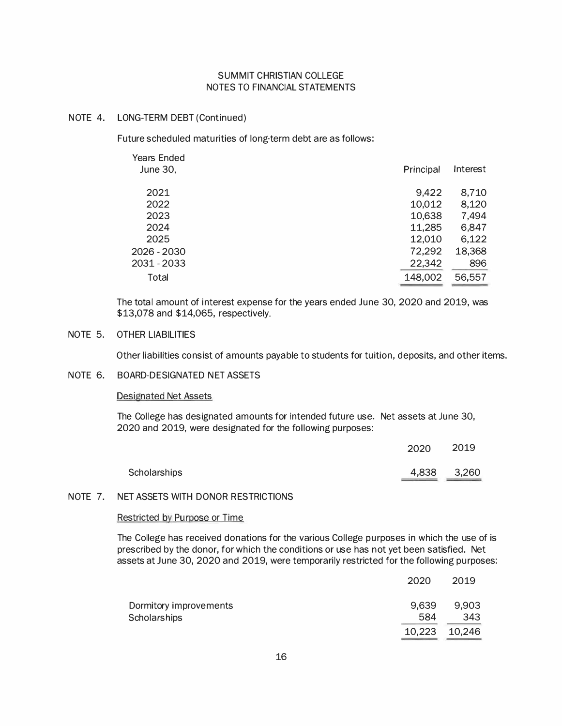## SUMMIT CHRISTIAN COLLEGE NOTES TO FINANCIAL STATEMENTS

## NOTE 4. LONG-TERM DEBT (Continued)

Future scheduled maturities of long-term debt are as follows:

| <b>Years Ended</b><br>June 30, | Principal | Interest |
|--------------------------------|-----------|----------|
| 2021                           | 9,422     | 8,710    |
| 2022                           | 10,012    | 8,120    |
| 2023                           | 10,638    | 7,494    |
| 2024                           | 11,285    | 6,847    |
| 2025                           | 12,010    | 6,122    |
| 2026 - 2030                    | 72,292    | 18,368   |
| 2031 - 2033                    | 22,342    | 896      |
| Total                          | 148,002   | 56,557   |
|                                |           |          |

The total amount of interest expense for the years ended June 30, 2020 and 2019, was \$13,078 and \$14,065, respectively.

## NOTE 5. OTHER LIABILITIES

Other liabilities consist of amounts payable to students for tuition, deposits, and other items.

## NOTE 6. BOARD-DESIGNATED NET ASSETS

#### Designated Net Assets

The College has designated amounts for intended future use. Net assets at June 30, 2020 and 2019, were designated for the following purposes:

|              | 2020 | 2019                   |
|--------------|------|------------------------|
| Scholarships |      | 4,838 3,260<br>_______ |

## NOTE 7. NET ASSETS WITH DONOR RESTRICTIONS

#### Restricted by Purpose or Time

The College has received donations for the various College purposes in which the use of is prescribed by the donor, for which the conditions or use has not yet been satisfied. Net assets at June 30, 2020 and 2019, were temporarily restricted for the following purposes:

|                        | 2020   | 2019             |
|------------------------|--------|------------------|
| Dormitory improvements | 9.639  | 9.903            |
| <b>Scholarships</b>    | 584    | 343              |
|                        | 10,223 | 10,246<br>______ |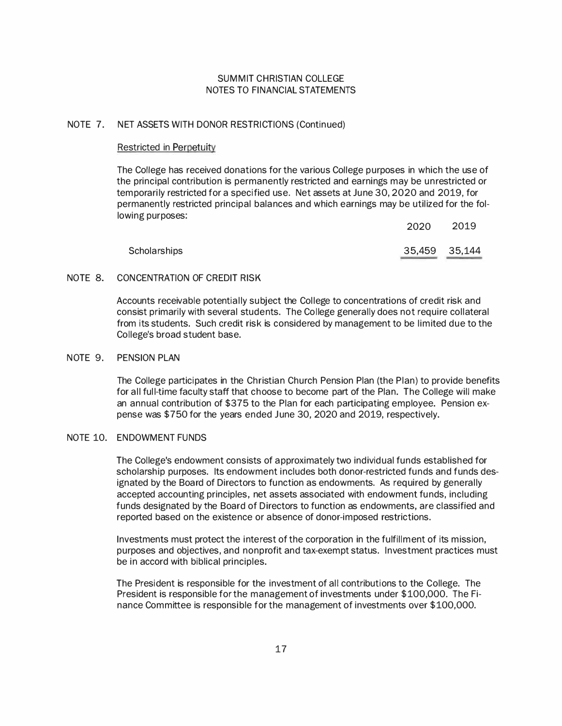## SUMMIT CHRISTIAN COLLEGE NOTES TO FINANCIAL STATEMENTS

#### NOTE 7. NET ASSETS WITH DONOR RESTRICTIONS (Continued)

#### Restricted in Peroetuity

The College has received donations for the various College purposes in which the use of the principal contribution is permanently restricted and earnings may be unrestricted or temporarily restricted for a specified use. Net assets at June 30, 2020 and 2019, for permanently restricted principal balances and which earnings may be utilized for the following purposes:

|              | 2020          | -2019 |
|--------------|---------------|-------|
| Scholarships | 35,459 35,144 |       |

#### NOTE 8. CONCENTRATION OF CREDIT RISK

Accounts receivable potentially subject the College to concentrations of credit risk and consist primarily with several students. The College generally does not require collateral from its students. Such credit risk is considered by management to be limited due to the College's broad student base.

## NOTE 9. PENSION PLAN

The College participates in the Christian Church Pension Plan (the Plan) to provide benefits for all full-time faculty staff that choose to become part of the Plan. The College will make an annual contribution of \$375 to the Plan for each participating employee. Pension expense was \$750 for the years ended June 30, 2020 and 2019, respectively.

#### NOTE 10. ENDOWMENT FUNDS

The College's endowment consists of approximately two individual funds established for scholarship purposes. Its endowment includes both donor-restricted funds and funds designated by the Board of Directors to function as endowments. As required by generally accepted accounting principles, net assets associated with endowment funds, including funds designated by the Board of Directors to function as endowments, are classified and reported based on the existence or absence of donor-imposed restrictions.

Investments must protect the interest of the corporation in the fulfillment of its mission, purposes and objectives, and nonprofit and tax-exempt status. Investment practices must be in accord with biblical principles.

The President is responsible for the investment of all contributions to the College. The President is responsible for the management of investments under \$100,000. The Finance Committee is responsible for the management of investments over \$100,000.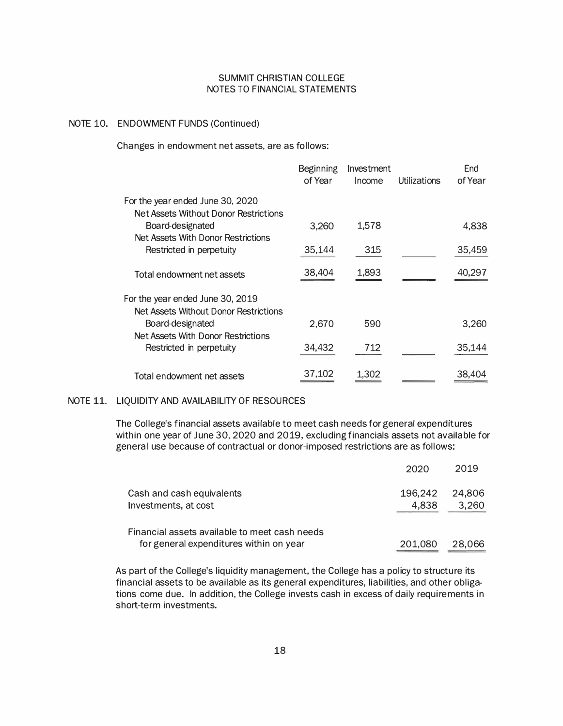## SUMMIT CHRISTIAN COLLEGE NOTES TO FINANCIAL STATEMENTS

#### NOTE 10. ENDOWMENT FUNDS (Continued)

Changes in endowment net assets, are as follows:

|                                                                                  | <b>Beginning</b><br>of Year | Investment<br>Income | Utilizations | End<br>of Year |
|----------------------------------------------------------------------------------|-----------------------------|----------------------|--------------|----------------|
| For the year ended June 30, 2020<br><b>Net Assets Without Donor Restrictions</b> |                             |                      |              |                |
| Board-designated<br><b>Net Assets With Donor Restrictions</b>                    | 3,260                       | 1,578                |              | 4,838          |
| Restricted in perpetuity                                                         | 35,144                      | 315                  |              | 35,459         |
| Total endowment net assets                                                       | 38,404                      | 1,893                |              | 40,297         |
| For the year ended June 30, 2019<br>Net Assets Without Donor Restrictions        |                             |                      |              |                |
| Board-designated<br>Net Assets With Donor Restrictions                           | 2,670                       | 590                  |              | 3,260          |
| Restricted in perpetuity                                                         | 34,432                      | 712                  |              | 35,144         |
| Total endowment net assets                                                       | 37,102                      | 1,302                |              | 38,404         |

### NOTE 11. LIQUIDITY AND AVAILABILITY OF RESOURCES

The College's financial assets available to meet cash needs for general expenditures within one year of June 30, 2020 and 2019, excluding financials assets not available for general use because of contractual or donor-imposed restrictions are as follows:

|                                                                                          | 2020             | 2019            |
|------------------------------------------------------------------------------------------|------------------|-----------------|
| Cash and cash equivalents<br>Investments, at cost                                        | 196.242<br>4,838 | 24,806<br>3,260 |
| Financial assets available to meet cash needs<br>for general expenditures within on year | 201,080          | 28,066          |

As part of the College's liquidity management, the College has a policy to structure its financial assets to be available as its general expenditures, liabilities, and other obligations come due. In addition, the College invests cash in excess of daily requirements in short-term investments.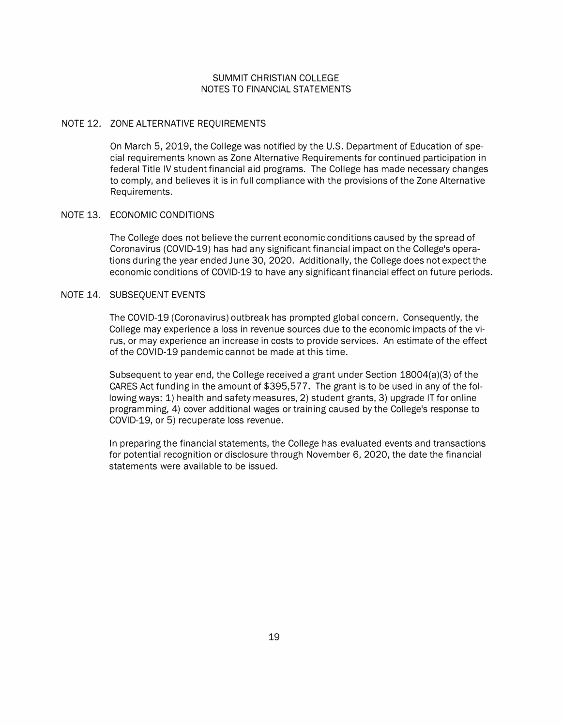## SUMMIT CHRISTIAN COLLEGE NOTES TO FINANCIAL STATEMENTS

## NOTE 12. ZONE ALTERNATIVE REQUIREMENTS

On March 5, 2019, the College was notified by the U.S. Department of Education of special requirements known as Zone Alternative Requirements for continued participation in federal Title IV student financial aid programs. The College has made necessary changes to comply, and believes it is in full compliance with the provisions of the Zone Alternative Requirements.

### NOTE 13. ECONOMIC CONDITIONS

The College does not believe the current economic conditions caused by the spread of Coronavirus (COVID-19) has had any significant financial impact on the College's operations during the year ended June 30, 2020. Additionally, the College does not expect the economic conditions of COVID-19 to have any significant financial effect on future periods.

## NOTE 14. SUBSEQUENT EVENTS

The COVID-19 (Coronavirus) outbreak has prompted global concern. Consequently, the College may experience a loss in revenue sources due to the economic impacts of the virus, or may experience an increase in costs to provide services. An estimate of the effect of the COVID-19 pandemic cannot be made at this time.

Subsequent to year end, the College received a grant under Section 18004(a)(3) of the CARES Act funding in the amount of \$395,577. The grant is to be used in any of the following ways: 1) health and safety measures, 2) student grants, 3) upgrade IT for online programming, 4) cover additional wages or training caused by the College's response to COVID-19, or 5) recuperate loss revenue.

In preparing the financial statements, the College has evaluated events and transactions for potential recognition or disclosure through November 6, 2020, the date the financial statements were available to be issued.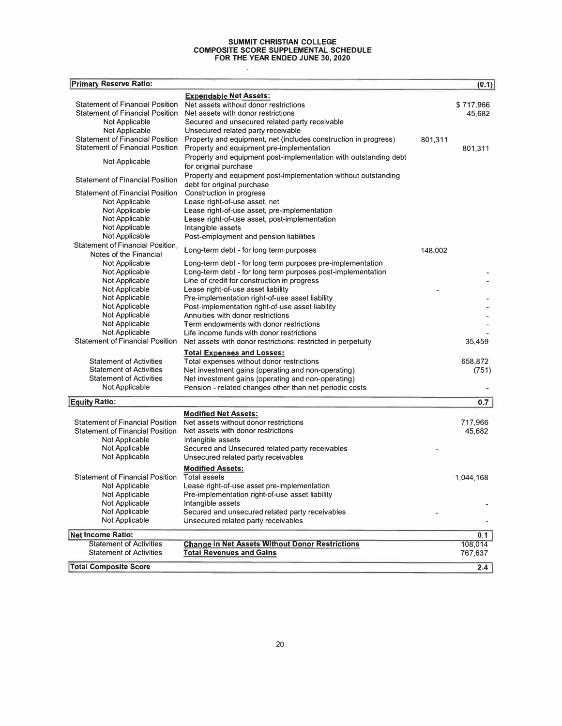#### SUMMIT CHRISTIAN COLLEGE COMPOSITE SCORE SUPPLEMENTAL SCHEDULE FOR THE YEAR ENDED JUNE 30, 2020

 $\lambda$ 

| <b>Primary Reserve Ratio:</b>           |                                                                  |         | (0.1)     |
|-----------------------------------------|------------------------------------------------------------------|---------|-----------|
|                                         | <b>Expendable Net Assets:</b>                                    |         |           |
| <b>Statement of Financial Position</b>  | Net assets without donor restrictions                            |         | \$717,966 |
| <b>Statement of Financial Position</b>  | Net assets with donor restrictions                               |         | 45,682    |
| Not Applicable                          | Secured and unsecured related party receivable                   |         |           |
| Not Applicable                          | Unsecured related party receivable                               |         |           |
| <b>Statement of Financial Position</b>  | Property and equipment, net (includes construction in progress)  | 801,311 |           |
| <b>Statement of Financial Position</b>  | Property and equipment pre-implementation                        |         | 801,311   |
|                                         | Property and equipment post-implementation with outstanding debt |         |           |
| Not Applicable                          | for original purchase                                            |         |           |
|                                         | Property and equipment post-implementation without outstanding   |         |           |
| <b>Statement of Financial Position</b>  | debt for original purchase                                       |         |           |
| <b>Statement of Financial Position</b>  | Construction in progress                                         |         |           |
| Not Applicable                          | Lease right-of-use asset, net                                    |         |           |
| Not Applicable                          | Lease right-of-use asset, pre-implementation                     |         |           |
| Not Applicable                          | Lease right-of-use asset, post-implementation                    |         |           |
| Not Applicable                          | Intangible assets                                                |         |           |
| Not Applicable                          | Post-employment and pension liabilities                          |         |           |
| <b>Statement of Financial Position,</b> |                                                                  |         |           |
| Notes of the Financial                  | Long-term debt - for long term purposes                          | 148,002 |           |
| Not Applicable                          | Long-term debt - for long term purposes pre-implementation       |         |           |
| Not Applicable                          | Long-term debt - for long term purposes post-implementation      |         |           |
| Not Applicable                          | Line of credit for construction in progress                      |         |           |
| Not Applicable                          | Lease right-of-use asset liability                               |         |           |
| Not Applicable                          | Pre-implementation right-of-use asset liability                  |         |           |
| Not Applicable                          | Post-implementation right-of-use asset liability                 |         |           |
| Not Applicable                          | Annuities with donor restrictions                                |         |           |
| Not Applicable                          | Term endowments with donor restrictions                          |         |           |
| Not Applicable                          | Life income funds with donor restrictions                        |         |           |
| <b>Statement of Financial Position</b>  | Net assets with donor restrictions: restricted in perpetuity     |         | 35,459    |
|                                         | <b>Total Expenses and Losses:</b>                                |         |           |
| <b>Statement of Activities</b>          | Total expenses without donor restrictions                        |         | 658,872   |
| <b>Statement of Activities</b>          | Net investment gains (operating and non-operating)               |         | (751)     |
| <b>Statement of Activities</b>          | Net investment gains (operating and non-operating)               |         |           |
| Not Applicable                          | Pension - related changes other than net periodic costs          |         |           |
| <b>Equity Ratio:</b>                    |                                                                  |         | 0.7       |
|                                         | <b>Modified Net Assets:</b>                                      |         |           |
| <b>Statement of Financial Position</b>  | Net assets without donor restrictions                            |         | 717,966   |
| <b>Statement of Financial Position</b>  | Net assets with donor restrictions                               |         | 45,682    |
| Not Applicable                          | Intangible assets                                                |         |           |
| Not Applicable                          | Secured and Unsecured related party receivables                  |         |           |
| Not Applicable                          | Unsecured related party receivables                              |         |           |
|                                         | <b>Modified Assets:</b>                                          |         |           |
| <b>Statement of Financial Position</b>  | <b>Total assets</b>                                              |         | 1,044,168 |
| Not Applicable                          | Lease right-of-use asset pre-implementation                      |         |           |
| Not Applicable                          | Pre-implementation right-of-use asset liability                  |         |           |
| Not Applicable                          | Intangible assets                                                |         |           |
| Not Applicable                          | Secured and unsecured related party receivables                  |         |           |
| Not Applicable                          | Unsecured related party receivables                              |         |           |
| <b>Net Income Ratio:</b>                |                                                                  |         | 0.1       |
| <b>Statement of Activities</b>          | <b>Change in Net Assets Without Donor Restrictions</b>           |         | 108,014   |
| <b>Statement of Activities</b>          | <b>Total Revenues and Gains</b>                                  |         | 767,637   |
| <b>Total Composite Score</b>            |                                                                  |         | 2.4       |
|                                         |                                                                  |         |           |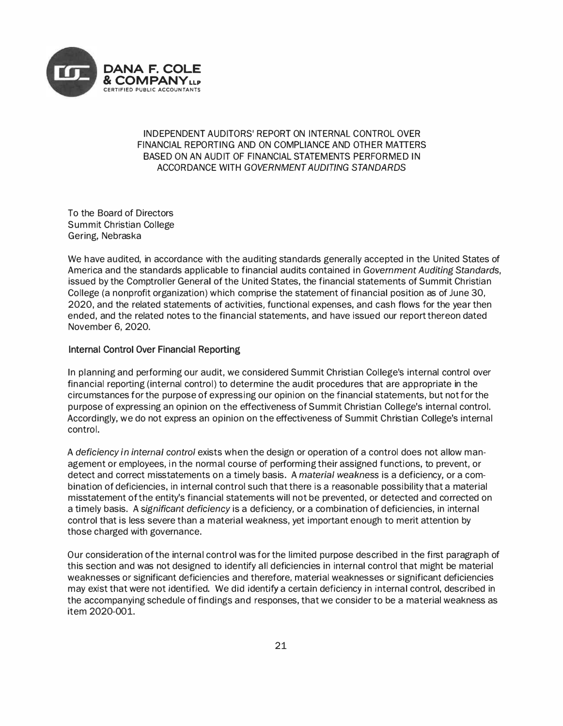

## INDEPENDENT AUDITORS' REPORT ON I NTERNAL CONTROL OVER FINANCIAL REPORTING AND ON COMPLIANCE AND OTHER MATTERS BASED ON AN AUDIT OF FINANCIAL STATEMENTS PERFORMED IN ACCORDANCE WITH GOVERNMENT AUDITING STANDARDS

To the Board of Directors Summit Christian College Gering, Nebraska

We have audited, in accordance with the auditing standards generally accepted in the United States of America and the standards applicable to financial audits contained in Government Auditing Standards, issued by the Comptroller General of the United States, the financial statements of Summit Christian College (a nonprofit organization) which comprise the statement of financial position as of June 30, 2020, and the related statements of activities, functional expenses, and cash flows for the year then ended, and the related notes to the financial statements, and have issued our report thereon dated November 6, 2020.

## Internal Control Over Financial Reporting

In planning and performing our audit, we considered Summit Christian College's internal control over financial reporting (internal control) to determine the audit procedures that are appropriate in the circ umstances for the purpose of expressing our opinion on the financial statements, but not for the purpose of expressing an opinion on the effectiveness of Summit Christian College's internal control. Accordingly, we do not express an opinion on the effectiveness of Summit Christian College's internal control.

A deficiency in internal control exists when the design or operation of a control does not allow management or employees, in the normal course of performing their assigned functions, to prevent, or detect and correct misstatements on a timely basis. A material weakness is a deficiency, or a combination of deficiencies, in internal control such that there is a reasonable possibil ity that a material misstatement of the entity's financial statements will not be prevented, or detected and corrected on a timely basis. A significant deficiency is a deficiency, or a combination of deficiencies, in internal control that is less severe than a material weakness, yet important enough to merit attention by those charged with governance.

Our consideration of the internal control was for the limited purpose described in the first paragraph of this section and was not designed to identify all deficiencies in internal control that might be material weaknesses or significant deficiencies and therefore, material weaknesses or significant deficiencies may exist that were not identified. We did identify a certain deficiency in internal control, described in the accompanying schedule of findings and responses, that we consider to be a material weakness as item 2020-001.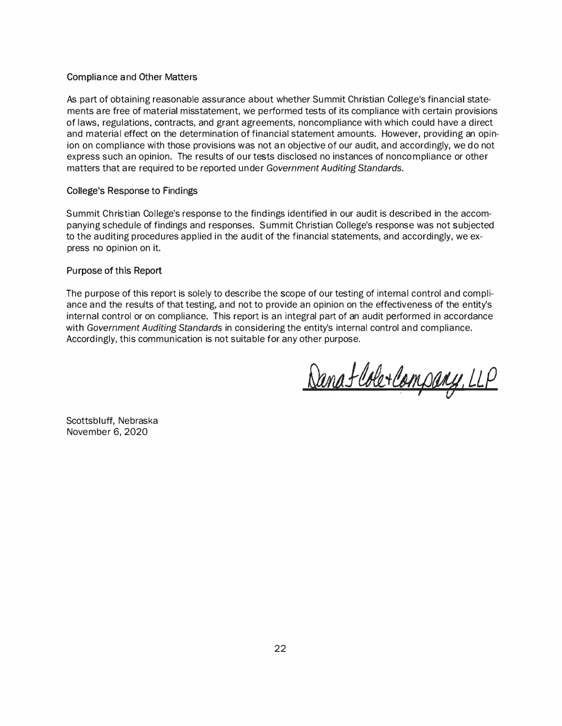## Compliance and Other Matters

As part of obtaining reasonable assurance about whether Summit Christian College's financial statements are free of material misstatement, we performed tests of its compliance with certain provisions of laws, regulations, contracts, and grant agreements, noncompliance with which could have a direct and material effect on the determination of financial statement amounts. However, providing an opinion on compliance with those provisions was not an objective of our audit, and accordingly, we do not express such an opinion. The results of our tests disclosed no instances of noncompliance or other matters that are required to be reported under Government Auditing Standards.

## College's Response to Findings

Summit Christian College's response to the findings identified in our audit is described in the accompanying schedu le of findings and responses. Summit Christian College's response was not subjected to the auditing procedures applied in the audit of the financial statements, and accordingly, we express no opinion on it.

## Purpose of this Report

The purpose of this report is solely to describe the scope of our testing of internal control and compliance and the results of that testing, a nd not to provide an opinion on the effectiveness of the entity's internal control or on compliance. This report is an integral part of an audit performed in accordance with Government Auditing Standards in considering the entity's internal control and compliance. Accordingly, this communication is not suitable for any other purpose.

Danafloberlampany, LLP

Scottsbluff, Nebraska November 6, 2020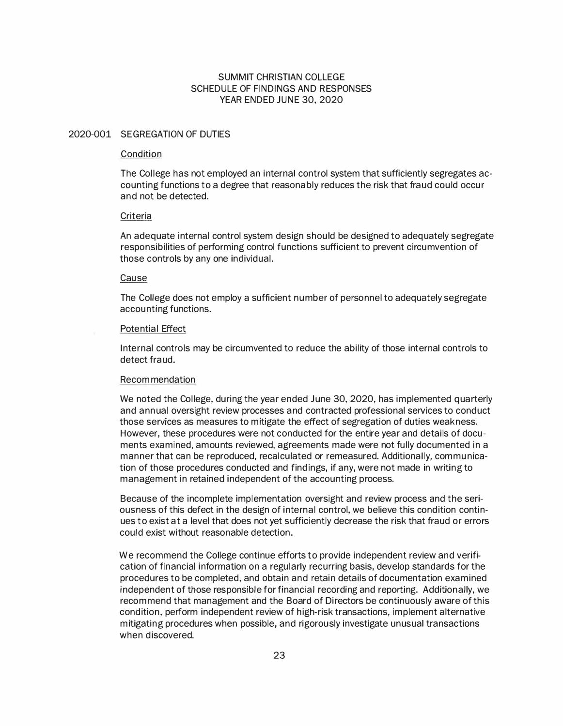## SUMMIT CHRISTIAN COLLEGE SCHEDULE OF FINDINGS AND RESPONSES YEAR ENDED JUNE 30, 2020

#### 2020-001 SEGREGATION OF DUTIES

#### Condition

The College has not employed an internal control system that sufficiently segregates accounting functions to a degree that reasona bly reduces the risk that fraud could occur and not be detected.

#### **Criteria**

An adequate internal control system design should be designed to adequately segregate responsibilities of performing control functions sufficient to prevent circumvention of those controls by any one individual.

#### Cause

The College does not employ a sufficient number of personnel to adequately segregate accounting functions.

#### Potential Effect

Internal controls may be circumvented to reduce the ability of those internal controls to detect fraud.

#### Recom mendation

We noted the College, during the year ended June 30, 2020, has implemented quarterly and annual oversight review processes and contracted professional services to conduct those services as measures to mitigate the effect of segregation of duties weakness. However, these procedures were not conducted for the entire year and details of documents examined, amounts reviewed, agreements made were not fully documented in a manner that can be reproduced, recalculated or remeasured. Additionally, communication of those procedures conducted and findings, if any, were not made in writing to management in retained independent of the accounting process.

Because of the incomplete implementation oversight and review process and the seriousness of this defect in the design of internal control, we believe this condition continues to exist at a level that does not yet sufficiently decrease the risk that fraud or errors could exist without reasonable detection.

We recommend the College continue efforts to provide independent review and verification of financial information on a regularly recurring basis, develop standards for the procedures to be completed, and obtain and retain details of documentation examined independent of those responsible for financial recording and reporting. Additionally, we recommend that management and the Board of Directors be continuously aware of this condition, perform independent review of high-risk transactions, implement alternative m itigating procedures when possible, and rigorously investigate unusual transactions when discovered.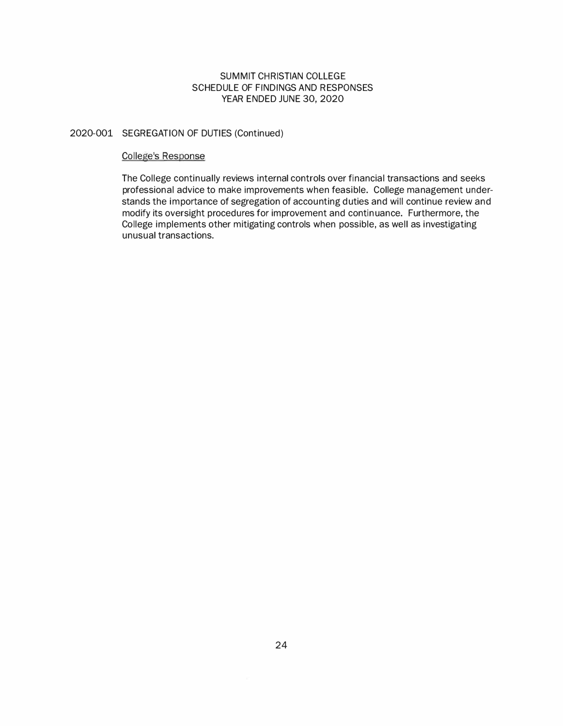## SUMMIT CHRISTIAN COLLEGE SCHEDULE OF FINDINGS AND RESPONSES YEAR ENDED JUNE 30, 2020

### 2020-001 SEGREGATION OF DUTIES (Continued)

#### College's Response

The College continually reviews internal controls over financial transactions and seeks professional advice to make improvements when feasible. College management understands the importance of segregation of accounting duties and will continue review and modify its oversight procedures for improvement and contin uance. Furthermore, the College implements other mitigating controls when possible, as well as investigating unusual transactions.